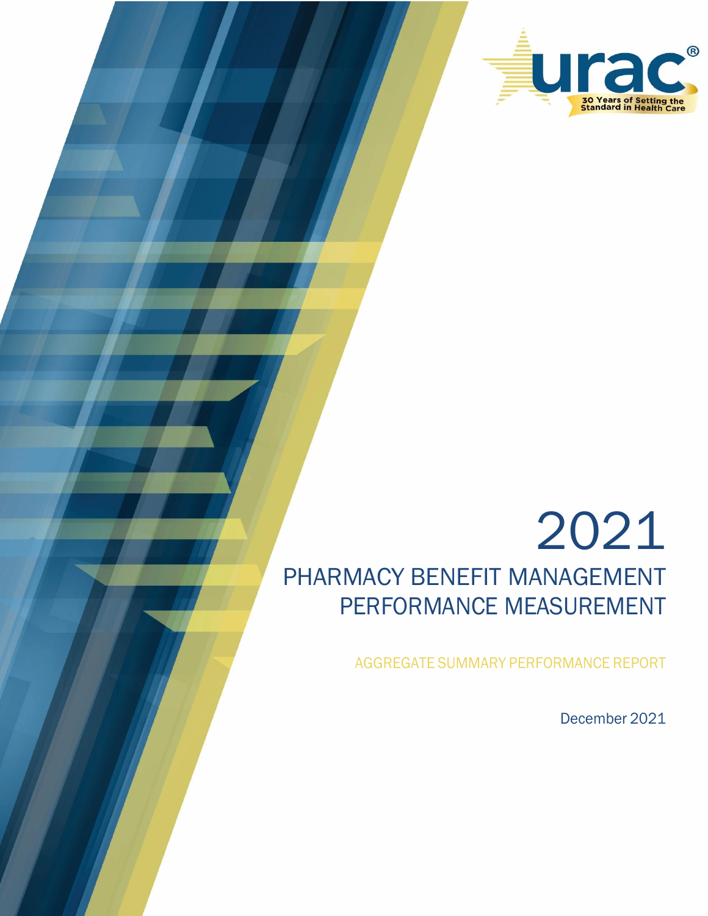

# 2021 PHARMACY BENEFIT MANAGEMENT PERFORMANCE MEASUREMENT

AGGREGATE SUMMARY PERFORMANCE REPORT

December 2021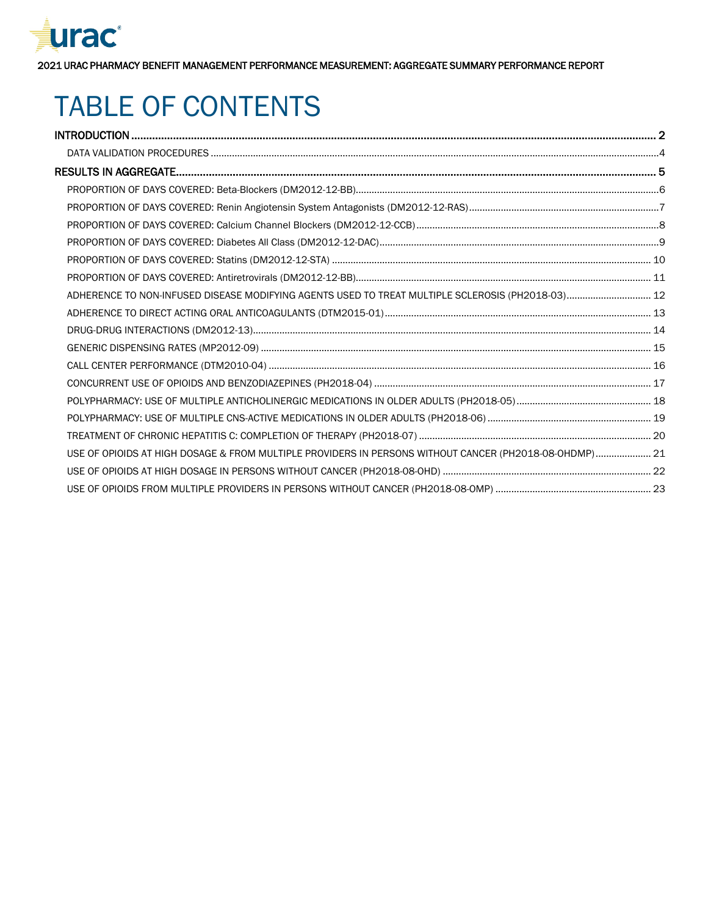

## TABLE OF CONTENTS

| ADHERENCE TO NON-INFUSED DISEASE MODIFYING AGENTS USED TO TREAT MULTIPLE SCLEROSIS (PH2018-03) 12      |  |
|--------------------------------------------------------------------------------------------------------|--|
|                                                                                                        |  |
|                                                                                                        |  |
|                                                                                                        |  |
|                                                                                                        |  |
|                                                                                                        |  |
|                                                                                                        |  |
|                                                                                                        |  |
|                                                                                                        |  |
| USE OF OPIOIDS AT HIGH DOSAGE & FROM MULTIPLE PROVIDERS IN PERSONS WITHOUT CANCER (PH2O18-08-OHDMP) 21 |  |
|                                                                                                        |  |
|                                                                                                        |  |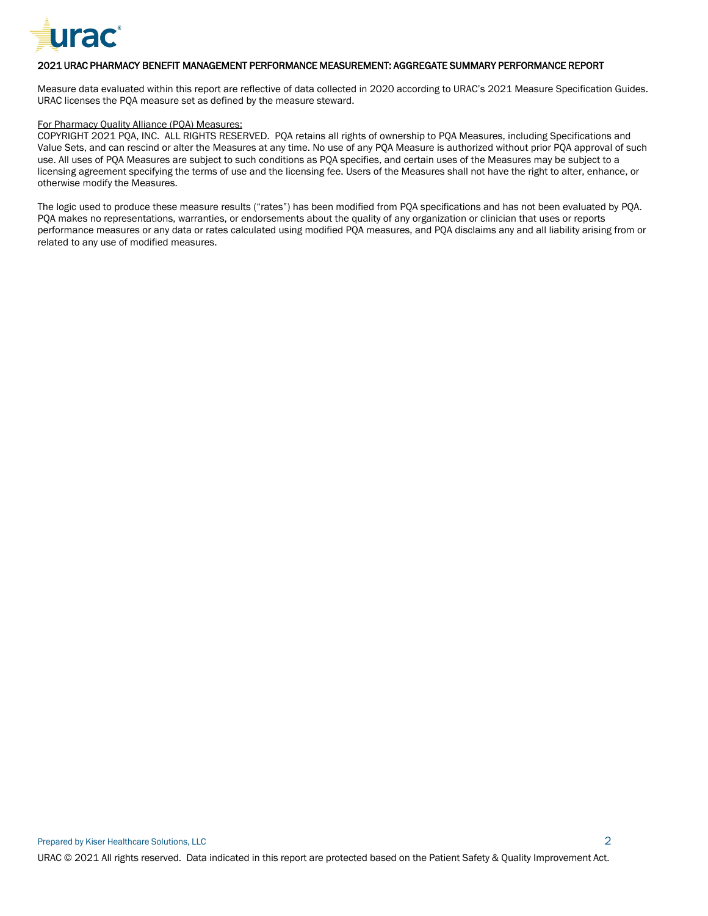

<span id="page-2-0"></span>Measure data evaluated within this report are reflective of data collected in 2020 according to URAC's 2021 Measure Specification Guides. URAC licenses the PQA measure set as defined by the measure steward.

#### For Pharmacy Quality Alliance (PQA) Measures:

COPYRIGHT 2021 PQA, INC. ALL RIGHTS RESERVED. PQA retains all rights of ownership to PQA Measures, including Specifications and Value Sets, and can rescind or alter the Measures at any time. No use of any PQA Measure is authorized without prior PQA approval of such use. All uses of PQA Measures are subject to such conditions as PQA specifies, and certain uses of the Measures may be subject to a licensing agreement specifying the terms of use and the licensing fee. Users of the Measures shall not have the right to alter, enhance, or otherwise modify the Measures.

The logic used to produce these measure results ("rates") has been modified from PQA specifications and has not been evaluated by PQA. PQA makes no representations, warranties, or endorsements about the quality of any organization or clinician that uses or reports performance measures or any data or rates calculated using modified PQA measures, and PQA disclaims any and all liability arising from or related to any use of modified measures.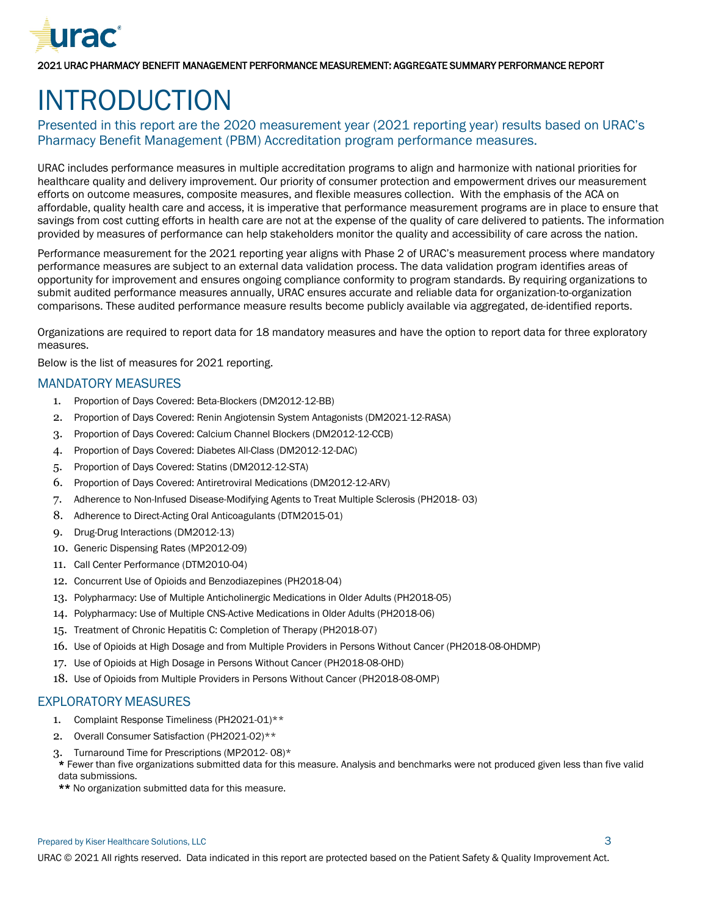

## INTRODUCTION

#### Presented in this report are the 2020 measurement year (2021 reporting year) results based on URAC's Pharmacy Benefit Management (PBM) Accreditation program performance measures.

URAC includes performance measures in multiple accreditation programs to align and harmonize with national priorities for healthcare quality and delivery improvement. Our priority of consumer protection and empowerment drives our measurement efforts on outcome measures, composite measures, and flexible measures collection. With the emphasis of the ACA on affordable, quality health care and access, it is imperative that performance measurement programs are in place to ensure that savings from cost cutting efforts in health care are not at the expense of the quality of care delivered to patients. The information provided by measures of performance can help stakeholders monitor the quality and accessibility of care across the nation.

Performance measurement for the 2021 reporting year aligns with Phase 2 of URAC's measurement process where mandatory performance measures are subject to an external data validation process. The data validation program identifies areas of opportunity for improvement and ensures ongoing compliance conformity to program standards. By requiring organizations to submit audited performance measures annually, URAC ensures accurate and reliable data for organization-to-organization comparisons. These audited performance measure results become publicly available via aggregated, de-identified reports.

Organizations are required to report data for 18 mandatory measures and have the option to report data for three exploratory measures.

Below is the list of measures for 2021 reporting.

#### MANDATORY MEASURES

- 1. Proportion of Days Covered: Beta-Blockers (DM2012-12-BB)
- 2. Proportion of Days Covered: Renin Angiotensin System Antagonists (DM2021-12-RASA)
- 3. Proportion of Days Covered: Calcium Channel Blockers (DM2012-12-CCB)
- 4. Proportion of Days Covered: Diabetes All-Class (DM2012-12-DAC)
- 5. Proportion of Days Covered: Statins (DM2012-12-STA)
- 6. Proportion of Days Covered: Antiretroviral Medications (DM2012-12-ARV)
- 7. Adherence to Non-Infused Disease-Modifying Agents to Treat Multiple Sclerosis (PH2018- 03)
- 8. Adherence to Direct-Acting Oral Anticoagulants (DTM2015-01)
- 9. Drug-Drug Interactions (DM2012-13)
- 10. Generic Dispensing Rates (MP2012-09)
- 11. Call Center Performance (DTM2010-04)
- 12. Concurrent Use of Opioids and Benzodiazepines (PH2018-04)
- 13. Polypharmacy: Use of Multiple Anticholinergic Medications in Older Adults (PH2018-05)
- 14. Polypharmacy: Use of Multiple CNS-Active Medications in Older Adults (PH2018-06)
- 15. Treatment of Chronic Hepatitis C: Completion of Therapy (PH2018-07)
- 16. Use of Opioids at High Dosage and from Multiple Providers in Persons Without Cancer (PH2018-08-OHDMP)
- 17. Use of Opioids at High Dosage in Persons Without Cancer (PH2018-08-OHD)
- 18. Use of Opioids from Multiple Providers in Persons Without Cancer (PH2018-08-OMP)

#### EXPLORATORY MEASURES

- 1. Complaint Response Timeliness (PH2021-01)\*\*
- 2. Overall Consumer Satisfaction (PH2021-02)\*\*
- 3. Turnaround Time for Prescriptions (MP2012- 08)\*
- \* Fewer than five organizations submitted data for this measure. Analysis and benchmarks were not produced given less than five valid data submissions.
- \*\* No organization submitted data for this measure.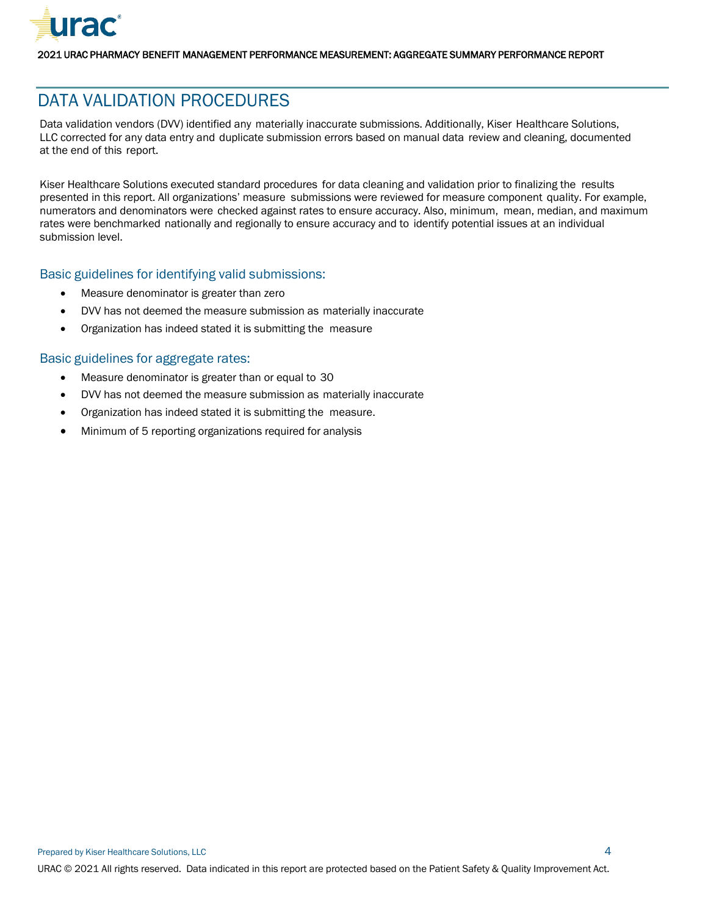

## <span id="page-4-0"></span>DATA VALIDATION PROCEDURES

Data validation vendors (DVV) identified any materially inaccurate submissions. Additionally, Kiser Healthcare Solutions, LLC corrected for any data entry and duplicate submission errors based on manual data review and cleaning, documented at the end of this report.

Kiser Healthcare Solutions executed standard procedures for data cleaning and validation prior to finalizing the results presented in this report. All organizations' measure submissions were reviewed for measure component quality. For example, numerators and denominators were checked against rates to ensure accuracy. Also, minimum, mean, median, and maximum rates were benchmarked nationally and regionally to ensure accuracy and to identify potential issues at an individual submission level.

#### Basic guidelines for identifying valid submissions:

- Measure denominator is greater than zero
- DVV has not deemed the measure submission as materially inaccurate
- Organization has indeed stated it is submitting the measure

#### Basic guidelines for aggregate rates:

- Measure denominator is greater than or equal to 30
- DVV has not deemed the measure submission as materially inaccurate
- Organization has indeed stated it is submitting the measure.
- Minimum of 5 reporting organizations required for analysis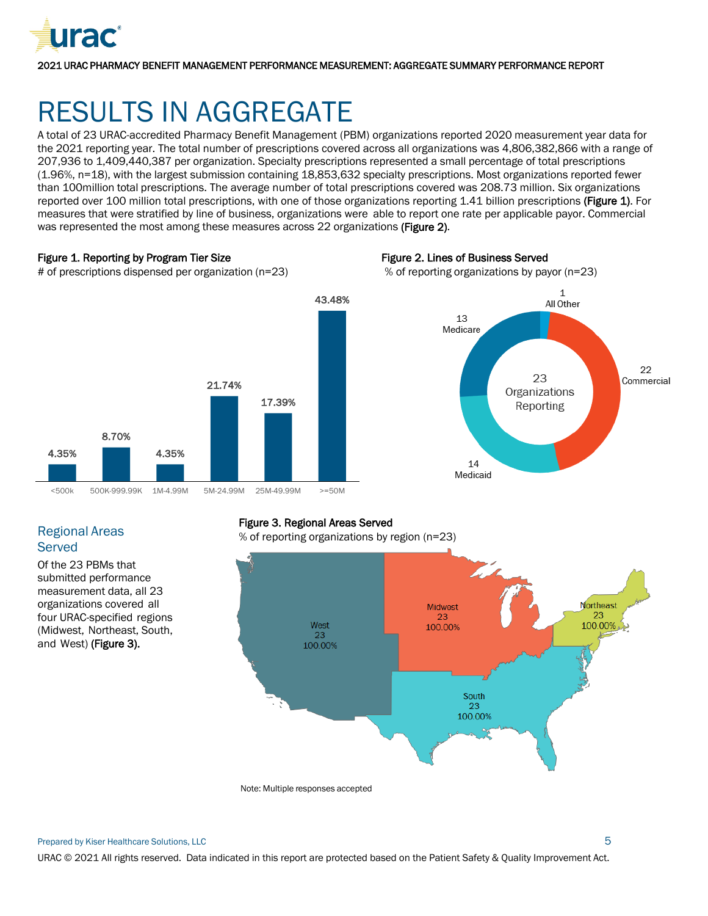

## <span id="page-5-0"></span>RESULTS IN AGGREGATE

A total of 23 URAC-accredited Pharmacy Benefit Management (PBM) organizations reported 2020 measurement year data for the 2021 reporting year. The total number of prescriptions covered across all organizations was 4,806,382,866 with a range of 207,936 to 1,409,440,387 per organization. Specialty prescriptions represented a small percentage of total prescriptions (1.96%, n=18), with the largest submission containing 18,853,632 specialty prescriptions. Most organizations reported fewer than 100million total prescriptions. The average number of total prescriptions covered was 208.73 million. Six organizations reported over 100 million total prescriptions, with one of those organizations reporting 1.41 billion prescriptions (Figure 1). For measures that were stratified by line of business, organizations were able to report one rate per applicable payor. Commercial was represented the most among these measures across 22 organizations (Figure 2).

43.48%

#### Figure 1. Reporting by Program Tier Size

Figure 2. Lines of Business Served







21.74%

17.39%

4.35%

#### Regional Areas **Served**

4.35%

Of the 23 PBMs that submitted performance measurement data, all 23 organizations covered all four URAC-specified regions (Midwest, Northeast, South, and West) (Figure 3).

8.70%

#### Figure 3. Regional Areas Served

% of reporting organizations by region (n=23)



Note: Multiple responses accepted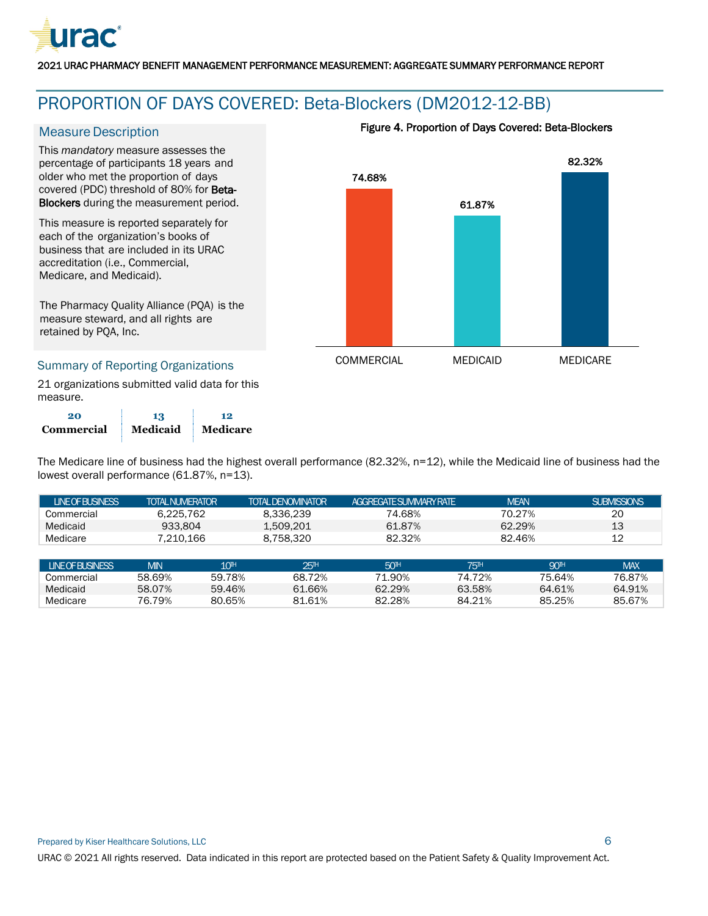

## <span id="page-6-0"></span>PROPORTION OF DAYS COVERED: Beta-Blockers (DM2012-12-BB)

#### **Measure Description**

This *mandatory* measure assesses the percentage of participants 18 years and older who met the proportion of days covered (PDC) threshold of 80% for Beta-Blockers during the measurement period.

This measure is reported separately for each of the organization's books of business that are included in its URAC accreditation (i.e., Commercial, Medicare, and Medicaid).

The Pharmacy Quality Alliance (PQA) is the measure steward, and all rights are retained by PQA, Inc.

#### Summary of Reporting Organizations

21 organizations submitted valid data for this measure.

| 20                | 13       | 12              |
|-------------------|----------|-----------------|
| <b>Commercial</b> | Medicaid | <b>Medicare</b> |

#### Figure 4. Proportion of Days Covered: Beta-Blockers



The Medicare line of business had the highest overall performance (82.32%, n=12), while the Medicaid line of business had the lowest overall performance (61.87%, n=13).

| <b>LINEOFBUSINESS</b> | <b>TOTAL NUMERATOR</b> |                 | <b>TOTAL DENOMINATOR</b> | AGGREGATE SUMMARY RATE |                 | <b>MEAN</b>     | <b>SUBMISSIONS</b> |
|-----------------------|------------------------|-----------------|--------------------------|------------------------|-----------------|-----------------|--------------------|
| Commercial            | 6.225.762              |                 | 8.336.239                | 74.68%                 |                 | 70.27%          | 20                 |
| Medicaid              | 933.804                |                 | 1,509,201                | 61.87%                 |                 | 62.29%          | 13                 |
| Medicare              | 7.210.166              |                 | 8.758.320                | 82.32%                 |                 | 82.46%          | 12                 |
|                       |                        |                 |                          |                        |                 |                 |                    |
| <b>LINEOFBUSINESS</b> | <b>MIN</b>             | 10 <sup>H</sup> | 25 <sup>th</sup>         | 50 <sup>H</sup>        | 75 <sup>H</sup> | 90 <sup>H</sup> | <b>MAX</b>         |
| Commercial            | 58.69%                 | 59.78%          | 68.72%                   | 71.90%                 | 74.72%          | 75.64%          | 76.87%             |
| Medicaid              | 58.07%                 | 59.46%          | 61.66%                   | 62.29%                 | 63.58%          | 64.61%          | 64.91%             |
| Medicare              | 76.79%                 | 80.65%          | 81.61%                   | 82.28%                 | 84.21%          | 85.25%          | 85.67%             |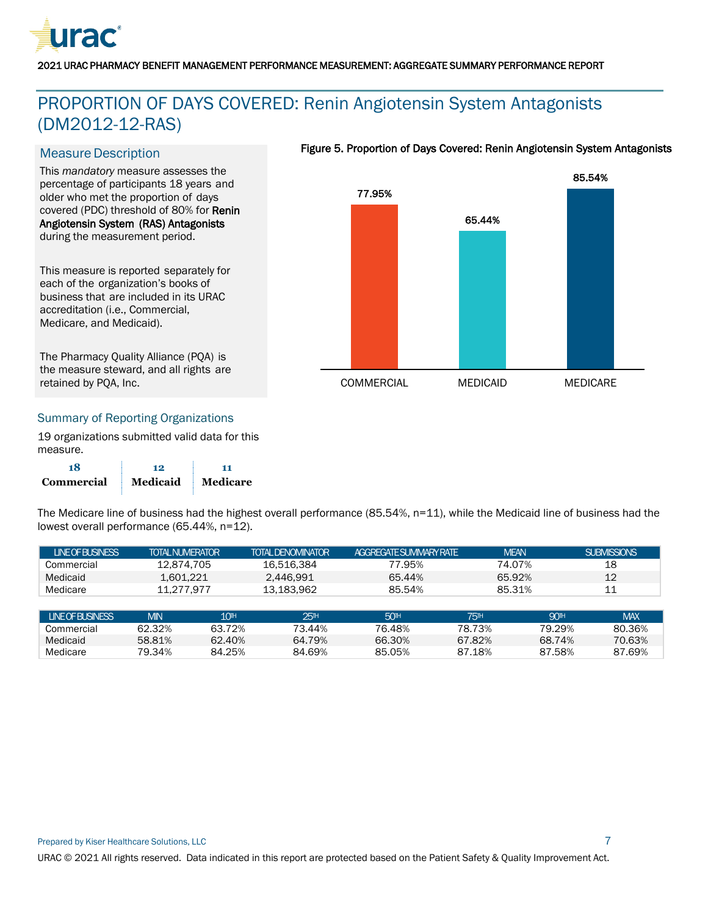

## <span id="page-7-0"></span>PROPORTION OF DAYS COVERED: Renin Angiotensin System Antagonists (DM2012-12-RAS)

#### **Measure Description**

This *mandatory* measure assesses the percentage of participants 18 years and older who met the proportion of days covered (PDC) threshold of 80% for Renin Angiotensin System (RAS) Antagonists during the measurement period.

This measure is reported separately for each of the organization's books of business that are included in its URAC accreditation (i.e., Commercial, Medicare, and Medicaid).

The Pharmacy Quality Alliance (PQA) is the measure steward, and all rights are retained by PQA, Inc.

#### Figure 5. Proportion of Days Covered: Renin Angiotensin System Antagonists



#### Summary of Reporting Organizations

19 organizations submitted valid data for this measure.

| 18         | 12       |                 |
|------------|----------|-----------------|
| Commercial | Medicaid | <b>Medicare</b> |

The Medicare line of business had the highest overall performance (85.54%, n=11), while the Medicaid line of business had the lowest overall performance (65.44%, n=12).

| <b>INFOFRISINESS</b> | <b>TOTAL NUMERATOR</b> | TOTAI DENOMINATOR | <b>AGGRFGATE SUMMARY RATE</b> | <b>MFAN</b> | SUBMISSIONS |
|----------------------|------------------------|-------------------|-------------------------------|-------------|-------------|
| Commercial           | 12.874.705             | 16.516.384        | 77.95%                        | 74.07%      | 18          |
| Medicaid             | 1.601.221              | 2.446.991         | 65.44%                        | 65.92%      | 12          |
| Medicare             | 11.277.977             | 13.183.962        | 85.54%                        | 85.31%      | 11          |

| <b>INFOFRISINESS</b> | <b>MIN</b> | 10 <sup>th</sup> | 2511   | 50 <sup>H</sup> | 751Н   | 901H   | <b>MAX</b> |
|----------------------|------------|------------------|--------|-----------------|--------|--------|------------|
| Commercial           | 62.32%     | 63.72%           | 73.44% | 76.48%          | 78.73% | 79.29% | 80.36%     |
| Medicaid             | 58.81%     | 62.40%           | 64.79% | 66.30%          | 67.82% | 68.74% | 70.63%     |
| Medicare             | 79.34%     | 84.25%           | 84.69% | 85.05%          | .18%   | 87.58% | 87.69%     |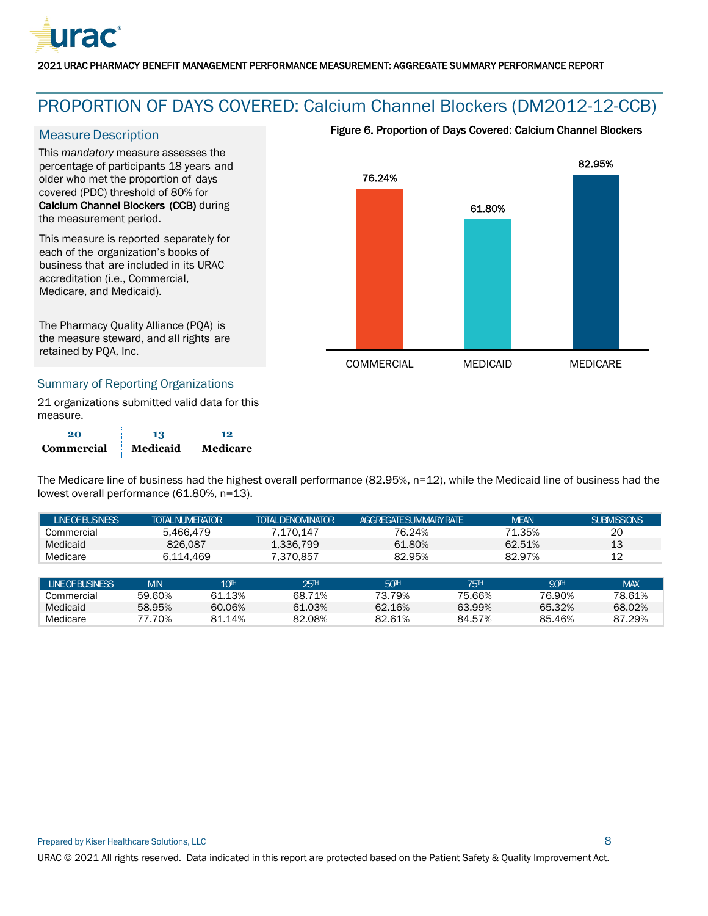

## <span id="page-8-0"></span>PROPORTION OF DAYS COVERED: Calcium Channel Blockers (DM2012-12-CCB)

#### **Measure Description**

This *mandatory* measure assesses the percentage of participants 18 years and older who met the proportion of days covered (PDC) threshold of 80% for Calcium Channel Blockers (CCB) during the measurement period.

This measure is reported separately for each of the organization's books of business that are included in its URAC accreditation (i.e., Commercial, Medicare, and Medicaid).

The Pharmacy Quality Alliance (PQA) is the measure steward, and all rights are retained by PQA, Inc.

#### Figure 6. Proportion of Days Covered: Calcium Channel Blockers



#### Summary of Reporting Organizations

21 organizations submitted valid data for this measure.

| 20         | 13       | 12       |
|------------|----------|----------|
| Commercial | Medicaid | Medicare |

The Medicare line of business had the highest overall performance (82.95%, n=12), while the Medicaid line of business had the lowest overall performance (61.80%, n=13).

| <b>LINEOFBUSINESS</b> | <b>TOTAL NUMERATOR</b> |                  | <b>TOTAL DENOMINATOR</b> | AGGRFGATESLIMMARY RATE |                  | <b>MEAN</b>     | <b>SUBMISSIONS</b> |
|-----------------------|------------------------|------------------|--------------------------|------------------------|------------------|-----------------|--------------------|
| Commercial            | 5.466.479              |                  | 7.170.147                | 76.24%                 |                  | 71.35%          | 20                 |
| Medicaid              | 826,087                |                  | 1.336.799                | 61.80%                 |                  | 62.51%          | 13                 |
| Medicare              | 6.114.469              |                  | 7.370.857                | 82.95%                 |                  | 82.97%          | 12                 |
|                       |                        |                  |                          |                        |                  |                 |                    |
| <b>LINEOFBUSINESS</b> | <b>MIN</b>             | 10 <sup>th</sup> | 25 <sup>TH</sup>         | 50 <sup>H</sup>        | 75 <sup>TH</sup> | 90 <sup>H</sup> | <b>MAX</b>         |
| Commercial            | 59.60%                 | 61.13%           | 68.71%                   | 73.79%                 | 75.66%           | 76.90%          | 78.61%             |

Medicaid 58.95% 60.06% 61.03% 62.16% 63.99% 65.32% 68.02% Medicare 77.70% 81.14% 82.08% 82.61% 84.57% 85.46% 87.29%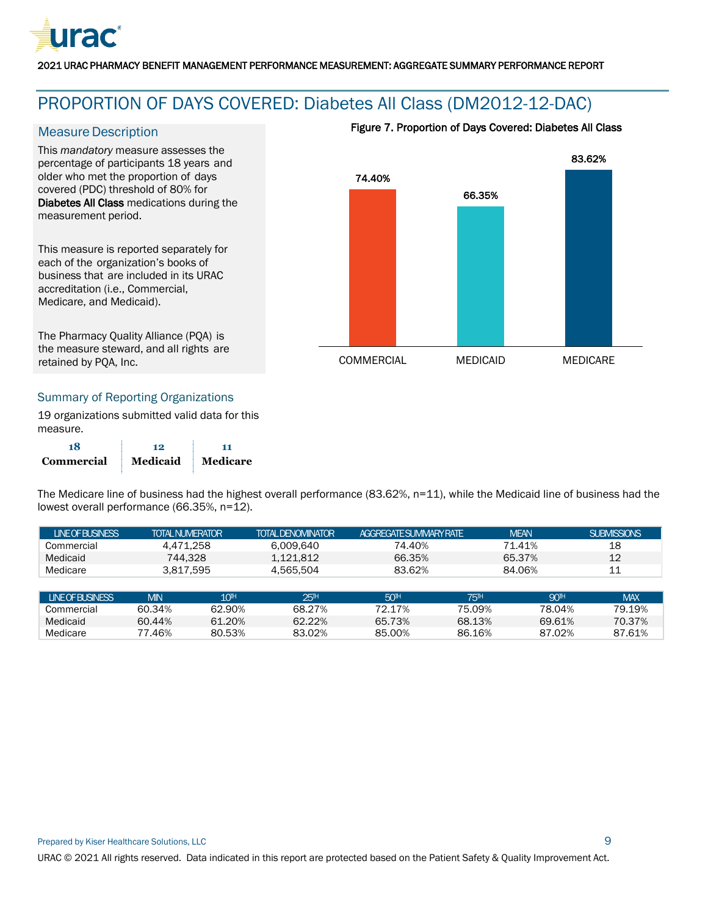

## <span id="page-9-0"></span>PROPORTION OF DAYS COVERED: Diabetes All Class (DM2012-12-DAC)

#### **Measure Description**

This *mandatory* measure assesses the percentage of participants 18 years and older who met the proportion of days covered (PDC) threshold of 80% for Diabetes All Class medications during the measurement period.

This measure is reported separately for each of the organization's books of business that are included in its URAC accreditation (i.e., Commercial, Medicare, and Medicaid).

The Pharmacy Quality Alliance (PQA) is the measure steward, and all rights are retained by PQA, Inc.

#### Figure 7. Proportion of Days Covered: Diabetes All Class



#### Summary of Reporting Organizations

19 organizations submitted valid data for this measure.

| 18                | 12       | 11       |
|-------------------|----------|----------|
| <b>Commercial</b> | Medicaid | Medicare |

The Medicare line of business had the highest overall performance (83.62%, n=11), while the Medicaid line of business had the lowest overall performance (66.35%, n=12).

| <b>INFOFRISINESS</b> | TOTAI NUMFRATOR | <b>TOTAL DENOMINATOR</b> | <b>AGGREGATESLIMMARY RATE</b> | <b>MEAN</b> | SUBMISSIONS |
|----------------------|-----------------|--------------------------|-------------------------------|-------------|-------------|
| Commercial           | 4.471.258       | 6.009.640                | 74.40%                        | 71.41%      | 18          |
| Medicaid             | 744.328         | 1.121.812                | 66.35%                        | 65.37%      | 12          |
| Medicare             | 3,817,595       | 4.565.504                | 83.62%                        | 84.06%      |             |

| <b>LINE OF BUSINESS</b> | <b>MIN</b> | $10^{\rm{th}}$ | 251H   | 50 <sup>H</sup> | <b>75H</b> | 90™    | MAX.   |
|-------------------------|------------|----------------|--------|-----------------|------------|--------|--------|
| Commercial              | 60.34%     | 62.90%         | 68.27% | 72.17%          | 75.09%     | 78.04% | 79.19% |
| Medicaid                | 60.44%     | 61.20%         | 62.22% | 65.73%          | 68.13%     | 69.61% | 70.37% |
| Medicare                | 77.46%     | 80.53%         | 83.02% | 85.00%          | 86.16%     | 87.02% | 87.61% |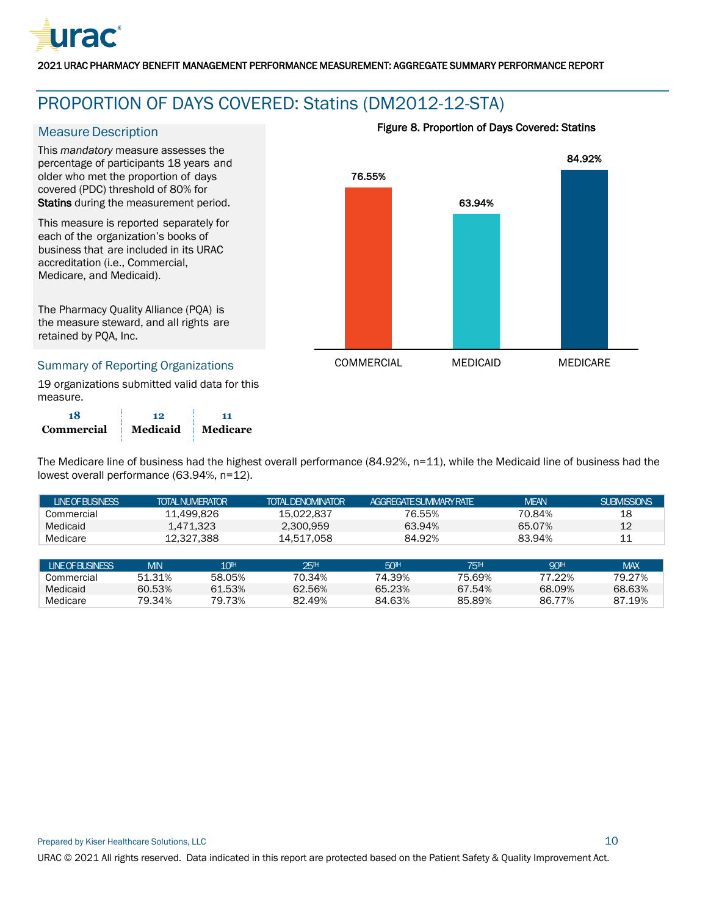

### <span id="page-10-0"></span>PROPORTION OF DAYS COVERED: Statins (DM2012-12-STA)

#### **Measure Description**

This *mandatory* measure assesses the percentage of participants 18 years and older who met the proportion of days covered (PDC) threshold of 80% for Statins during the measurement period.

This measure is reported separately for each of the organization's books of business that are included in its URAC accreditation (i.e., Commercial, Medicare, and Medicaid).

The Pharmacy Quality Alliance (PQA) is the measure steward, and all rights are retained by PQA, Inc.

#### Summary of Reporting Organizations

19 organizations submitted valid data for this measure.

| 18         | 19       |          |
|------------|----------|----------|
| Commercial | Medicaid | Medicare |





The Medicare line of business had the highest overall performance (84.92%, n=11), while the Medicaid line of business had the lowest overall performance (63.94%, n=12).

| <b>LINEOFBUSINESS</b> |            | <b>TOTAL NUMERATOR</b> | <b>TOTAL DENOMINATOR</b> | AGGREGATESLIMMARY RATE |                 | <b>MEAN</b>     | <b>SUBMISSIONS</b> |
|-----------------------|------------|------------------------|--------------------------|------------------------|-----------------|-----------------|--------------------|
| Commercial            |            | 11.499.826             | 15.022.837               | 76.55%                 |                 | 70.84%          | 18                 |
| Medicaid              | 1.471.323  |                        | 2.300.959                | 63.94%                 |                 | 65.07%          | 12                 |
| Medicare              |            | 12.327.388             | 14.517.058               | 84.92%                 |                 | 83.94%          | 11                 |
|                       |            |                        |                          |                        |                 |                 |                    |
| <b>LINEOFBUSINESS</b> | <b>MIN</b> | 10 <sup>th</sup>       | 25H                      | 50 <sup>H</sup>        | 75 <sup>H</sup> | 90 <sup>H</sup> | <b>MAX</b>         |
| Commercial            | 51.31%     | 58.05%                 | 70.34%                   | 74.39%                 | 75.69%          | 77.22%          | 79.27%             |
| Medicaid              | 60.53%     | 61.53%                 | 62.56%                   | 65.23%                 | 67.54%          | 68.09%          | 68.63%             |
| Medicare              | 79.34%     | 79.73%                 | 82.49%                   | 84.63%                 | 85.89%          | 86.77%          | 87.19%             |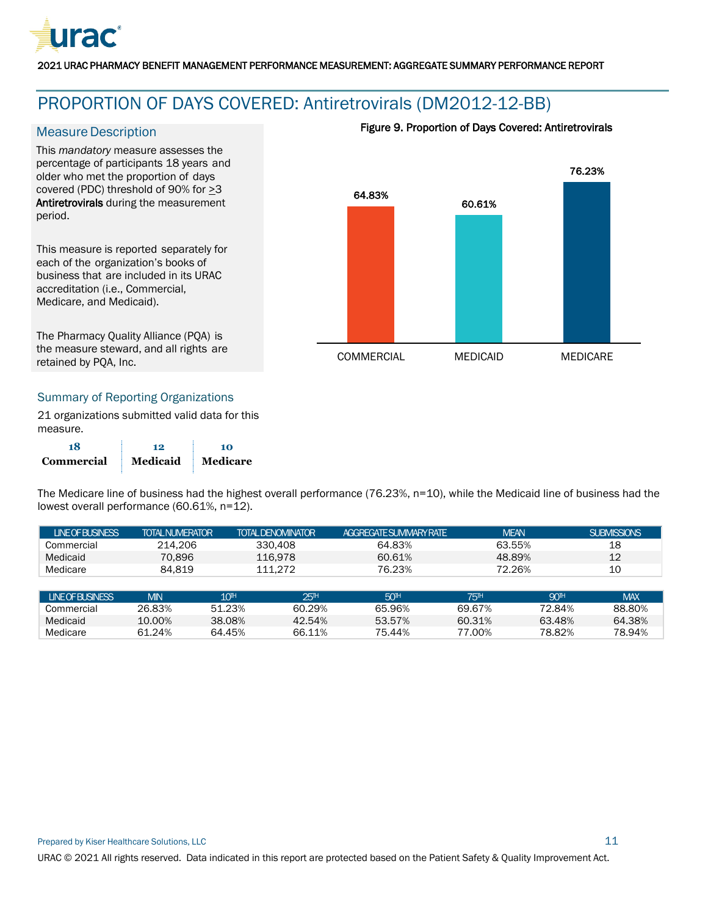

## <span id="page-11-0"></span>PROPORTION OF DAYS COVERED: Antiretrovirals (DM2012-12-BB)

#### **Measure Description**

This *mandatory* measure assesses the percentage of participants 18 years and older who met the proportion of days covered (PDC) threshold of 90% for >3 Antiretrovirals during the measurement period.

This measure is reported separately for each of the organization's books of business that are included in its URAC accreditation (i.e., Commercial, Medicare, and Medicaid).

The Pharmacy Quality Alliance (PQA) is the measure steward, and all rights are retained by PQA, Inc.

# 76.23%

Figure 9. Proportion of Days Covered: Antiretrovirals



#### Summary of Reporting Organizations

21 organizations submitted valid data for this measure.

| 18         | 12       | 10       |
|------------|----------|----------|
| Commercial | Medicaid | Medicare |

The Medicare line of business had the highest overall performance (76.23%, n=10), while the Medicaid line of business had the lowest overall performance (60.61%, n=12).

| <b>INFOFRISINESS</b> | <b>TOTAL NUMERATOR</b> | TOTAI DENOMINATOR | <b>AGGREGATE SUMMARY RATE</b> | <b>MEAN</b> | SUBMISSIONS |
|----------------------|------------------------|-------------------|-------------------------------|-------------|-------------|
| Commercial           | 214.206                | 330,408           | 64.83%                        | 63.55%      | 18          |
| Medicaid             | 70.896                 | 116.978           | 60.61%                        | 48.89%      |             |
| Medicare             | 84.819                 | 111.272           | 76.23%                        | 72.26%      | 10          |

| <b>INFOFRISINESS</b> | <b>MIN</b> | 10 <sup>th</sup> | 25 <sup>1H</sup> | 50 <sup>H</sup> | 75 <sup>1H</sup> | 90 <sup>1H</sup> | <b>MAX</b> |
|----------------------|------------|------------------|------------------|-----------------|------------------|------------------|------------|
| Commercial           | 26.83%     | 51.23%           | 60.29%           | 65.96%          | 69.67%           | 72.84%           | 88.80%     |
| Medicaid             | 10.00%     | 38.08%           | 42.54%           | 53.57%          | 60.31%           | 63.48%           | 64.38%     |
| Medicare             | 61.24%     | 64.45%           | 66.11%           | 75.44%          | .00%             | 78.82%           | 78.94%     |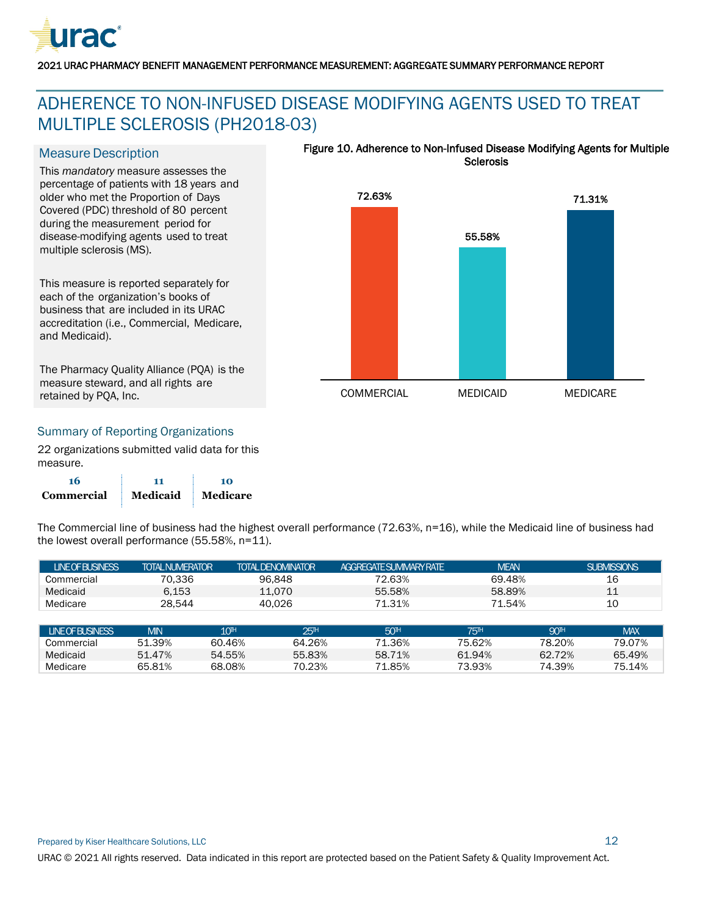

## <span id="page-12-0"></span>ADHERENCE TO NON-INFUSED DISEASE MODIFYING AGENTS USED TO TREAT MULTIPLE SCLEROSIS (PH2018-03)

#### **Measure Description**

This *mandatory* measure assesses the percentage of patients with 18 years and older who met the Proportion of Days Covered (PDC) threshold of 80 percent during the measurement period for disease-modifying agents used to treat multiple sclerosis (MS).

This measure is reported separately for each of the organization's books of business that are included in its URAC accreditation (i.e., Commercial, Medicare, and Medicaid).

The Pharmacy Quality Alliance (PQA) is the measure steward, and all rights are retained by PQA, Inc.

#### Figure 10. Adherence to Non-Infused Disease Modifying Agents for Multiple **Sclerosis**



#### Summary of Reporting Organizations

22 organizations submitted valid data for this measure.

| 16         | 11       | 10              |
|------------|----------|-----------------|
| Commercial | Medicaid | <b>Medicare</b> |

The Commercial line of business had the highest overall performance (72.63%, n=16), while the Medicaid line of business had the lowest overall performance (55.58%, n=11).

| <b>LINEOFBUSINESS</b> | <b>TOTAL NUMERATOR</b> | TOTAL DENOMINATOR                    | AGGREGATESLIMMARY RATE | <b>MEAN</b>           | <b>SUBMISSIONS</b>                  |
|-----------------------|------------------------|--------------------------------------|------------------------|-----------------------|-------------------------------------|
| Commercial            | 70.336                 | 96.848                               | 72.63%                 | 69.48%                | 16                                  |
| Medicaid              | 6.153                  | 11.070                               | 55.58%                 | 58.89%                | 11                                  |
| Medicare              | 28.544                 | 40.026                               | 71.31%                 | 71.54%                | 10                                  |
|                       |                        |                                      |                        |                       |                                     |
| <b>LINEOFBUSINESS</b> | <b>MIN</b>             | 10 <sup>th</sup><br>25 <sup>th</sup> | 50 <sup>H</sup>        | <b>75<sup>H</sup></b> | <b>90<sup>H</sup></b><br><b>MAX</b> |

Commercial 51.39% 60.46% 64.26% 71.36% 75.62% 78.20% 79.07% Medicaid 51.47% 54.55% 55.83% 58.71% 61.94% 62.72% 65.49% Medicare 65.81% 68.08% 70.23% 71.85% 73.93% 74.39% 75.14%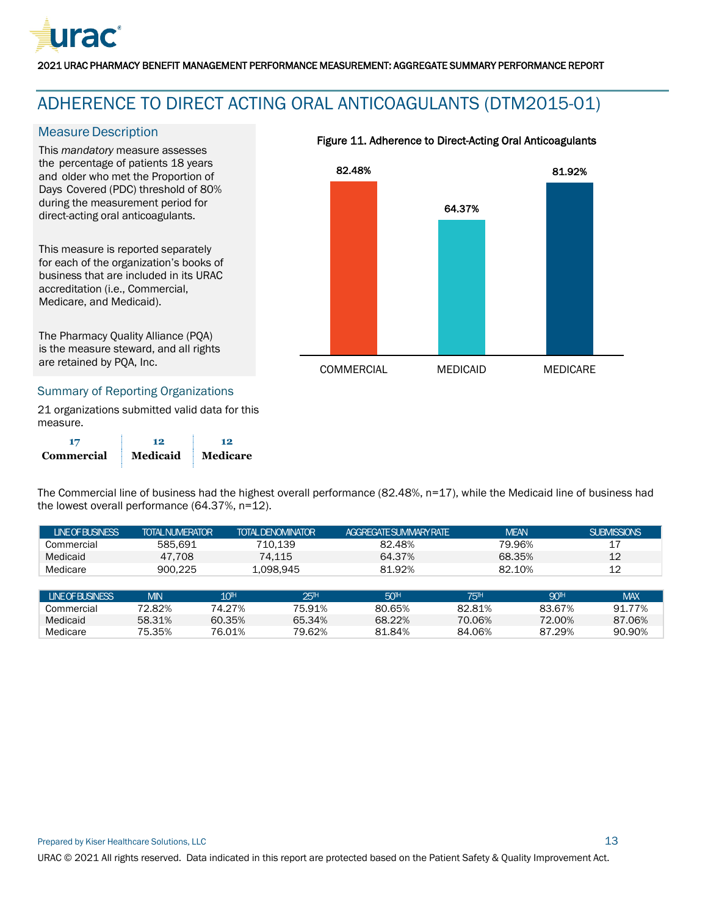

## <span id="page-13-0"></span>ADHERENCE TO DIRECT ACTING ORAL ANTICOAGULANTS (DTM2015-01)

#### **Measure Description**

This *mandatory* measure assesses the percentage of patients 18 years and older who met the Proportion of Days Covered (PDC) threshold of 80% during the measurement period for direct-acting oral anticoagulants.

This measure is reported separately for each of the organization's books of business that are included in its URAC accreditation (i.e., Commercial, Medicare, and Medicaid).

The Pharmacy Quality Alliance (PQA) is the measure steward, and all rights are retained by PQA, Inc.

#### Summary of Reporting Organizations

21 organizations submitted valid data for this measure.

|            | 12       | 19       |
|------------|----------|----------|
| Commercial | Medicaid | Medicare |

The Commercial line of business had the highest overall performance (82.48%, n=17), while the Medicaid line of business had the lowest overall performance (64.37%, n=12).

| <b>INFOFRISINESS</b> | <b>TOTAL NUMERATOR</b> | <b>TOTAL DENOMINATOR</b> | <b>AGGREGATE SUMMARY RATE</b> | MEAN   | SUBMISSIONS |
|----------------------|------------------------|--------------------------|-------------------------------|--------|-------------|
| Commercial           | 585.691                | 710.139                  | 82.48%                        | 79.96% |             |
| Medicaid             | 47.708                 | 74.115                   | 64.37%                        | 68.35% |             |
| Medicare             | 900.225                | 1.098.945                | 81.92%                        | 82.10% |             |

| <b>LINE OF BUSINESS</b> | <b>MIN</b> | 10 <sup>TH</sup> | 25 <sup>H</sup> | 50 <sup>H</sup> | <b>751H</b> | 901H   | <b>MAX</b> |
|-------------------------|------------|------------------|-----------------|-----------------|-------------|--------|------------|
| Commercial              | 72.82%     | '4.27%           | 75.91%          | 80.65%          | 82.81%      | 83.67% | 91.77%     |
| Medicaid                | 58.31%     | 60.35%           | 65.34%          | 68.22%          | 70.06%      | 72.00% | 87.06%     |
| Medicare                | 75.35%     | 76.01%           | 79.62%          | .84%<br>O 1     | 84.06%      | 87.29% | 90.90%     |



#### Figure 11. Adherence to Direct-Acting Oral Anticoagulants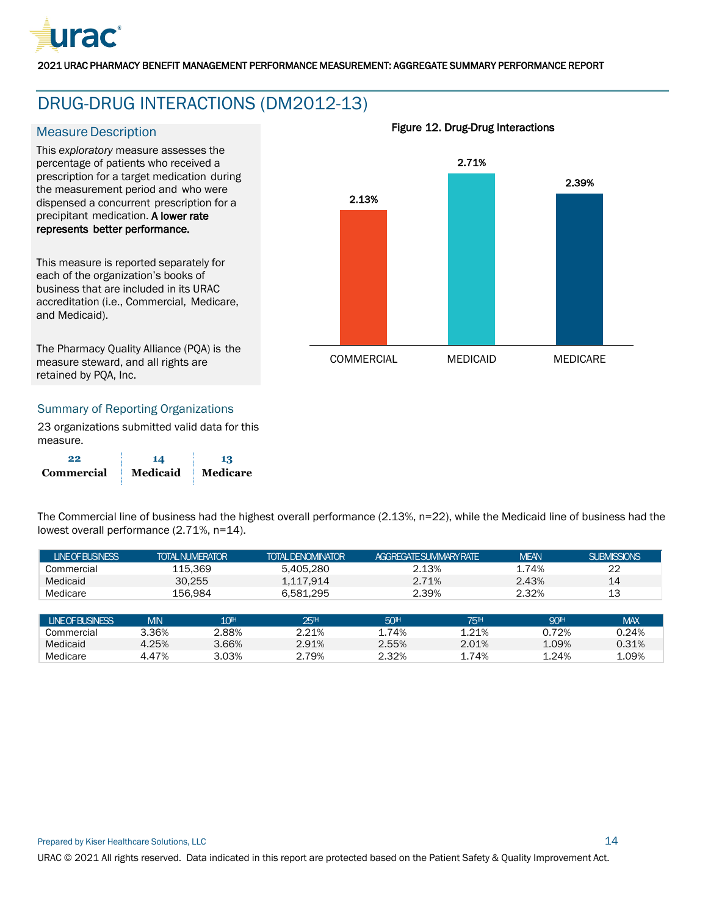

## <span id="page-14-0"></span>DRUG-DRUG INTERACTIONS (DM2012-13)

#### **Measure Description**

This *exploratory* measure assesses the percentage of patients who received a prescription for a target medication during the measurement period and who were dispensed a concurrent prescription for a precipitant medication. A lower rate represents better performance.

This measure is reported separately for each of the organization's books of business that are included in its URAC accreditation (i.e., Commercial, Medicare, and Medicaid).

The Pharmacy Quality Alliance (PQA) is the measure steward, and all rights are retained by PQA, Inc.

# 2.13% 2.71% 2.39% COMMERCIAL MEDICAID MEDICARE

Figure 12. Drug-Drug Interactions

#### Summary of Reporting Organizations

23 organizations submitted valid data for this measure.

| 99         | 14       |          |
|------------|----------|----------|
| Commercial | Medicaid | Medicare |

The Commercial line of business had the highest overall performance (2.13%, n=22), while the Medicaid line of business had the lowest overall performance (2.71%, n=14).

| <b>LINEOFBUSINESS</b> | <b>TOTAL NUMERATOR</b> |                  | <b>TOTAL DENOMINATOR</b> | AGGREGATE SUMMARY RATE | <b>MEAN</b>                                    | <b>SUBMISSIONS</b> |
|-----------------------|------------------------|------------------|--------------------------|------------------------|------------------------------------------------|--------------------|
| Commercial            | 115.369                |                  | 5.405.280                | 2.13%                  | 1.74%                                          | 22                 |
| Medicaid              | 30.255                 |                  | 1.117.914                | 2.71%                  | 2.43%                                          | 14                 |
| Medicare              | 156.984                |                  | 6.581.295                | 2.39%                  | 2.32%                                          | 13                 |
|                       |                        |                  |                          |                        |                                                |                    |
| <b>LINEOFBUSINESS</b> | <b>MIN</b>             | 10 <sup>th</sup> | 25H                      | 50 <sup>H</sup>        | <b>90<sup>H</sup></b><br><b>75<sup>H</sup></b> | <b>MAX</b>         |

Commercial 3.36% 2.88% 2.21% 1.74% 1.21% 0.72% 0.24% Medicaid 4.25% 3.66% 2.91% 2.55% 2.01% 1.09% 0.31% Medicare 4.47% 3.03% 2.79% 2.32% 1.74% 1.24% 1.09%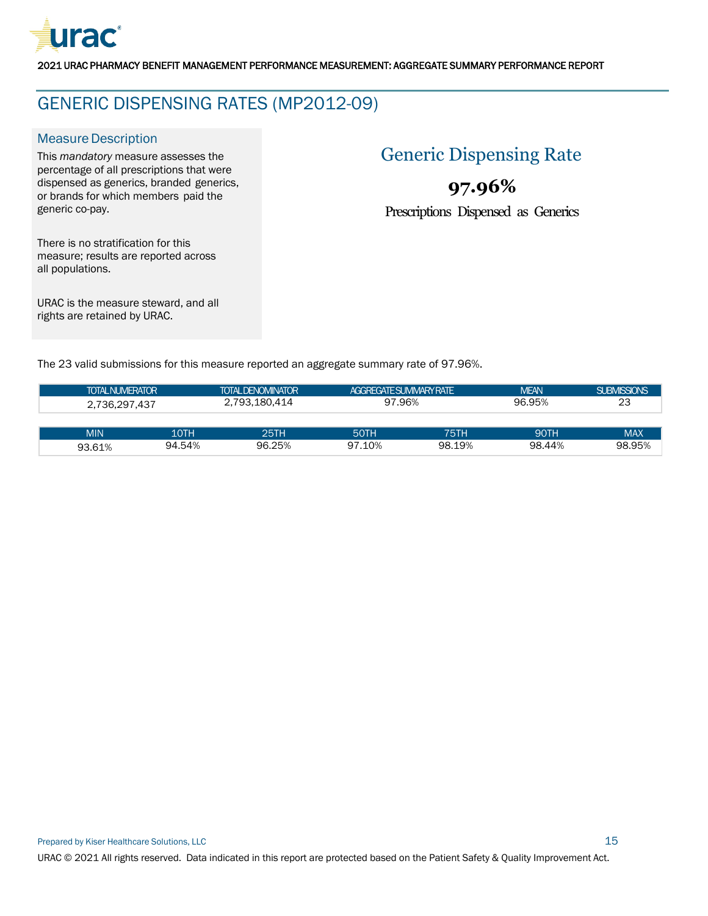

## <span id="page-15-0"></span>GENERIC DISPENSING RATES (MP2012-09)

#### **Measure Description**

This *mandatory* measure assesses the percentage of all prescriptions that were dispensed as generics, branded generics, or brands for which members paid the generic co-pay.

## Generic Dispensing Rate

## **97.96%**

Prescriptions Dispensed as Generics

There is no stratification for this measure; results are reported across all populations.

URAC is the measure steward, and all rights are retained by URAC.

The 23 valid submissions for this measure reported an aggregate summary rate of 97.96%.

| <b>TOTAL NUMERATOR</b> | <b>TOTAL DENOMINATOR</b> |             | <b>AGGREGATE SUMMARY RATE</b> |        | <b>MEAN</b> | <b>SUBMISSIONS</b> |
|------------------------|--------------------------|-------------|-------------------------------|--------|-------------|--------------------|
| 2.736.297.437          | 2.793.180.414            |             | 97.96%                        |        | 96.95%      | 23                 |
|                        |                          |             |                               |        |             |                    |
| <b>MIN</b>             | 10TH                     | <b>25TH</b> | 50TH                          | 75TH   | 90TH        | <b>MAX</b>         |
| 93.61%                 | 94.54%                   | 96.25%      | 97.10%                        | 98.19% | 98.44%      | 98.95%             |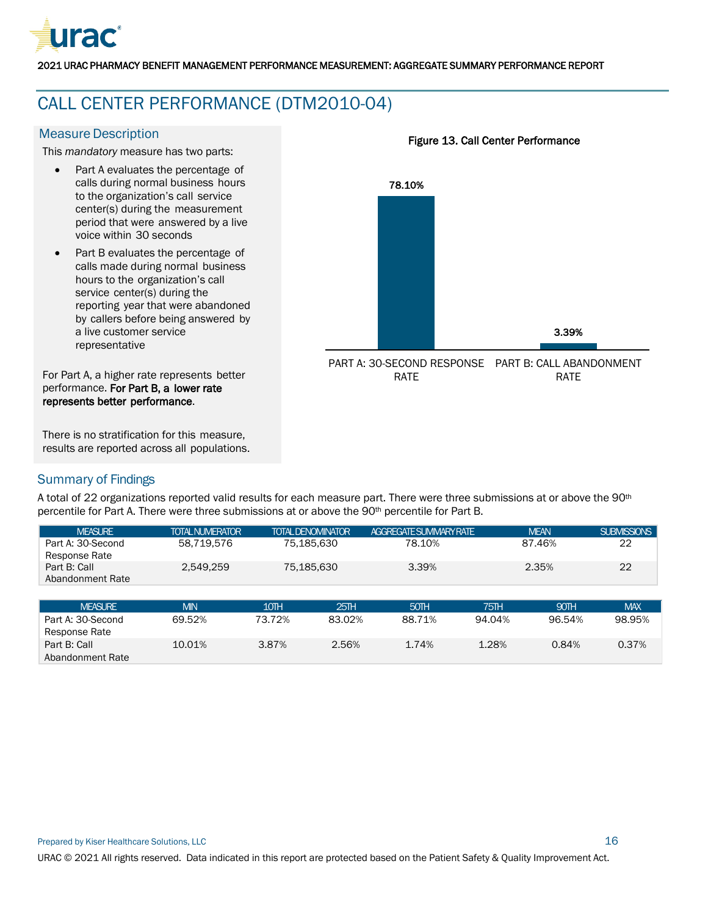

## <span id="page-16-0"></span>CALL CENTER PERFORMANCE (DTM2010-04)

#### **Measure Description**

This *mandatory* measure has two parts:

- Part A evaluates the percentage of calls during normal business hours to the organization's call service center(s) during the measurement period that were answered by a live voice within 30 seconds
- Part B evaluates the percentage of calls made during normal business hours to the organization's call service center(s) during the reporting year that were abandoned by callers before being answered by a live customer service representative

For Part A, a higher rate represents better performance. For Part B, a lower rate represents better performance.

There is no stratification for this measure, results are reported across all populations.

# 78.10% 3.39% PART A: 30-SECOND RESPONSE PART B: CALL ABANDONMENT RATE RATE

Figure 13. Call Center Performance

#### Summary of Findings

A total of 22 organizations reported valid results for each measure part. There were three submissions at or above the 90<sup>th</sup> percentile for Part A. There were three submissions at or above the 90th percentile for Part B.

| <b>MFASLIRE</b>                    | TOTAL NUMERATOR | <b>TOTAL DENOMINATOR</b> | AGGRFGATESLIMMARYRATE | <b>MEAN</b> | <b>SUBMISSIONS</b> |
|------------------------------------|-----------------|--------------------------|-----------------------|-------------|--------------------|
| Part A: 30-Second<br>Response Rate | 58.719.576      | 75.185.630               | 78.10%                | 87.46%      | 22                 |
| Part B: Call<br>Abandonment Rate   | 2.549.259       | 75.185.630               | 3.39%                 | 2.35%       | 22                 |
|                                    |                 |                          |                       |             |                    |

| <b>MEASURE</b>                     | <b>MIN</b> | 10TH   | 25TH   | 50TH   | <b>751H</b> | 90TH   | <b>MAX</b> |
|------------------------------------|------------|--------|--------|--------|-------------|--------|------------|
| Part A: 30-Second<br>Response Rate | 69.52%     | 73.72% | 83.02% | 88.71% | 94.04%      | 96.54% | 98.95%     |
| Part B: Call<br>Abandonment Rate   | 10.01%     | 3.87%  | 2.56%  | 1.74%  | 1.28%       | 0.84%  | 0.37%      |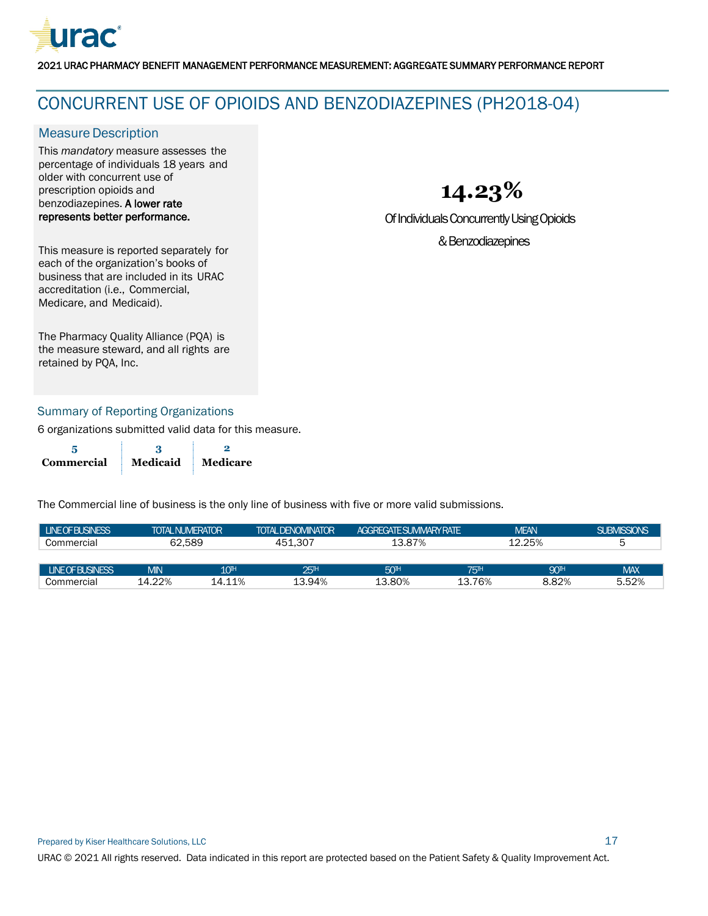

### <span id="page-17-0"></span>CONCURRENT USE OF OPIOIDS AND BENZODIAZEPINES (PH2018-04)

#### **Measure Description**

This *mandatory* measure assesses the percentage of individuals 18 years and older with concurrent use of prescription opioids and benzodiazepines. A lower rate represents better performance.

**14.23%**

Of Individuals Concurrently Using Opioids

& Benzodiazepines

This measure is reported separately for each of the organization's books of business that are included in its URAC accreditation (i.e., Commercial, Medicare, and Medicaid).

The Pharmacy Quality Alliance (PQA) is the measure steward, and all rights are retained by PQA, Inc.

#### Summary of Reporting Organizations

6 organizations submitted valid data for this measure.

| Commercial | Medicaid | Medicare |
|------------|----------|----------|

| <b>LINE OF BUSINESS</b> | <b>TOTAL NUMERATOR</b> |                  | <b>TOTAL DENOMINATOR</b> | <b>AGGRFGATE SUMMARY RATE</b> |            | <b>MEAN</b>           | <b>SUBMISSIONS</b> |
|-------------------------|------------------------|------------------|--------------------------|-------------------------------|------------|-----------------------|--------------------|
| Commercial              | 62.589                 |                  | 451.307                  | 13.87%                        |            | 12.25%                | ხ                  |
|                         |                        |                  |                          |                               |            |                       |                    |
| <b>LINE OF BUSINESS</b> | <b>MIN</b>             | 10 <sup>th</sup> | 25 <sup>H</sup>          | 50 <sup>H</sup>               | <b>75H</b> | <b>90<sup>H</sup></b> | <b>MAX</b>         |
| Commercial              | 14.22%                 | 14.11%           | 13.94%                   | 13.80%                        | 13.76%     | 8.82%                 | 5.52%              |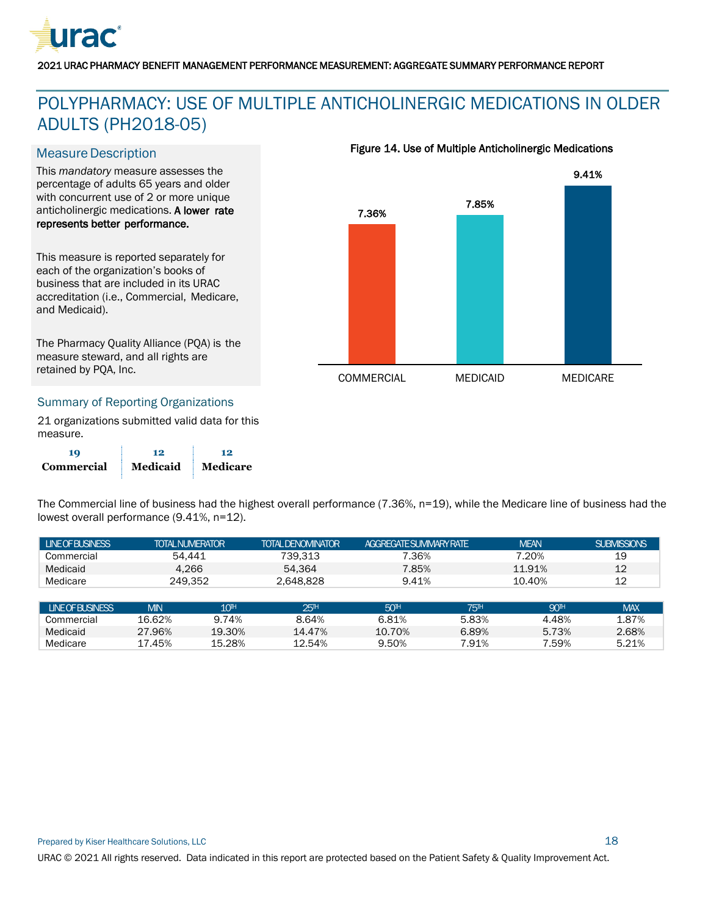

## <span id="page-18-0"></span>POLYPHARMACY: USE OF MULTIPLE ANTICHOLINERGIC MEDICATIONS IN OLDER ADULTS (PH2018-05)

#### **Measure Description**

This *mandatory* measure assesses the percentage of adults 65 years and older with concurrent use of 2 or more unique anticholinergic medications. A lower rate represents better performance.

This measure is reported separately for each of the organization's books of business that are included in its URAC accreditation (i.e., Commercial, Medicare, and Medicaid).

The Pharmacy Quality Alliance (PQA) is the measure steward, and all rights are retained by PQA, Inc.

#### Summary of Reporting Organizations

21 organizations submitted valid data for this measure.

**19 12 12 Commercial Medicaid Medicare** Figure 14. Use of Multiple Anticholinergic Medications



The Commercial line of business had the highest overall performance (7.36%, n=19), while the Medicare line of business had the lowest overall performance (9.41%, n=12).

| <b>LINEOFBUSINESS</b> | <b>TOTAL NUMERATOR</b> | TOTAI DENOMINATOR | <b>AGGRFGATESLIMMARY RATE</b> | <b>MEAN</b> | <b>SUBMISSIONS</b> |
|-----------------------|------------------------|-------------------|-------------------------------|-------------|--------------------|
| Commercial            | 54.441                 | 739.313           | 7.36%                         | 20%         | 19                 |
| Medicaid              | 4.266                  | 54.364            | 7.85%                         | 11.91%      | 12                 |
| Medicare              | 249.352                | 2.648.828         | 9.41%                         | 10.40%      | 12                 |

| <b>LINE OF BUSINESS</b> | VIN        | 10 <sup>th</sup> | 25™    | 50 <sup>H</sup> | 75™   | 90™   | <b>MAX</b> |
|-------------------------|------------|------------------|--------|-----------------|-------|-------|------------|
| Commercial              | 16.62%     | 74%              | 8.64%  | 6.81%           | 5.83% | 4.48% | 1.87%      |
| Medicaid                | 27.96%     | 19.30%           | 14.47% | 10.70%          | 6.89% | 5.73% | 2.68%      |
| Medicare                | .45%<br>17 | 15.28%           | 12.54% | 9.50%           | .91%  | .59%  | 5.21%      |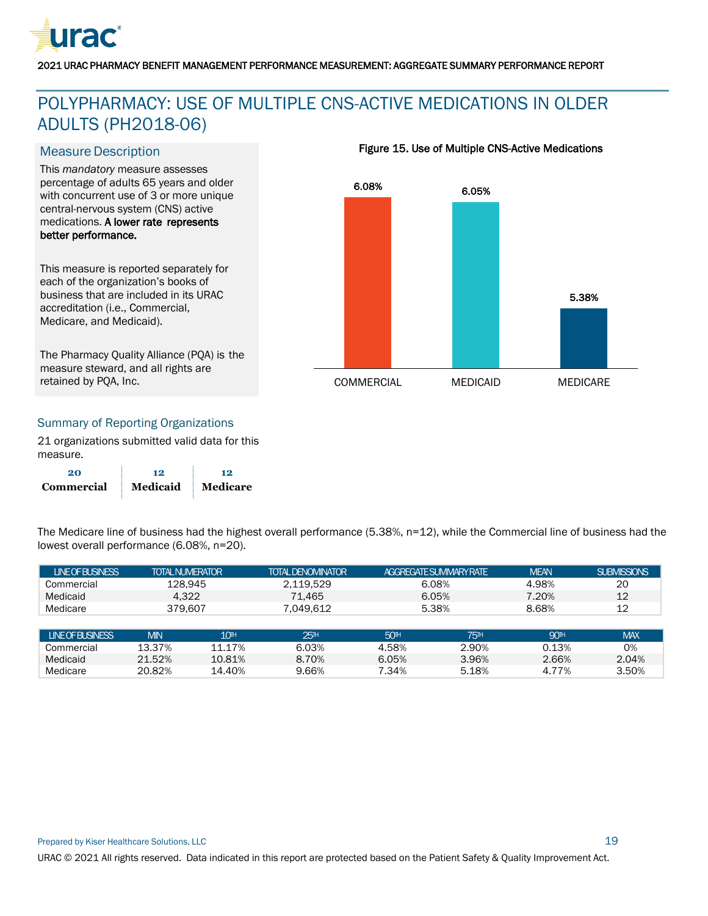

## <span id="page-19-0"></span>POLYPHARMACY: USE OF MULTIPLE CNS-ACTIVE MEDICATIONS IN OLDER ADULTS (PH2018-06)

#### **Measure Description**

This *mandatory* measure assesses percentage of adults 65 years and older with concurrent use of 3 or more unique central-nervous system (CNS) active medications. A lower rate represents better performance.

This measure is reported separately for each of the organization's books of business that are included in its URAC accreditation (i.e., Commercial, Medicare, and Medicaid).

The Pharmacy Quality Alliance (PQA) is the measure steward, and all rights are retained by PQA, Inc.

#### Figure 15. Use of Multiple CNS-Active Medications



#### Summary of Reporting Organizations

21 organizations submitted valid data for this measure.

| 20         | 12       | 12       |
|------------|----------|----------|
| Commercial | Medicaid | Medicare |

The Medicare line of business had the highest overall performance (5.38%, n=12), while the Commercial line of business had the lowest overall performance (6.08%, n=20).

| <b>LINEOFBUSINESS</b> | <b>TOTAL NUMERATOR</b> |                  | <b>TOTAL DENOMINATOR</b> |                 | <b>AGGREGATE SUMMARY RATE</b> | <b>MEAN</b>           | <b>SUBMISSIONS</b> |
|-----------------------|------------------------|------------------|--------------------------|-----------------|-------------------------------|-----------------------|--------------------|
| Commercial            | 128.945                |                  | 2.119.529                |                 | 6.08%                         | 4.98%                 | 20                 |
| Medicaid              | 4.322                  |                  | 71.465                   |                 | 6.05%                         | 7.20%                 | 12                 |
| Medicare              | 379,607                |                  | 7.049.612                |                 | 5.38%                         | 8.68%                 | 12                 |
|                       |                        |                  |                          |                 |                               |                       |                    |
| <b>LINEOFBUSINESS</b> | <b>MIN</b>             | 10 <sup>th</sup> | 25 <sup>th</sup>         | 50 <sup>H</sup> | <b>75<sup>H</sup></b>         | <b>90<sup>H</sup></b> | <b>MAX</b>         |
| Commercial            | 13.37%                 | 11.17%           | 6.03%                    | 4.58%           | 2.90%                         | 0.13%                 | 0%                 |
| Medicaid              | 21.52%                 | 10.81%           | 8.70%                    | 6.05%           | 3.96%                         | 2.66%                 | 2.04%              |
| Medicare              | 20.82%                 | 14.40%           | 9.66%                    | 7.34%           | 5.18%                         | 4.77%                 | 3.50%              |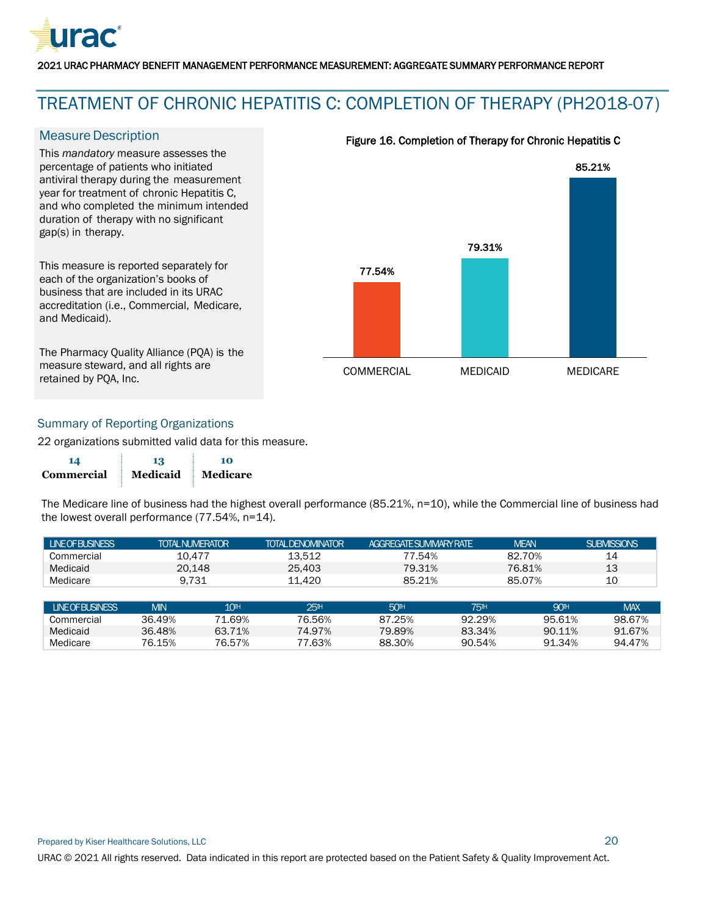

## <span id="page-20-0"></span>TREATMENT OF CHRONIC HEPATITIS C: COMPLETION OF THERAPY (PH2018-07)

#### **Measure Description**

This *mandatory* measure assesses the percentage of patients who initiated antiviral therapy during the measurement year for treatment of chronic Hepatitis C, and who completed the minimum intended duration of therapy with no significant gap(s) in therapy.

This measure is reported separately for each of the organization's books of business that are included in its URAC accreditation (i.e., Commercial, Medicare, and Medicaid).

The Pharmacy Quality Alliance (PQA) is the measure steward, and all rights are retained by PQA, Inc.



#### Figure 16. Completion of Therapy for Chronic Hepatitis C

#### Summary of Reporting Organizations

22 organizations submitted valid data for this measure.

| 14                | 13       | 10       |
|-------------------|----------|----------|
| <b>Commercial</b> | Medicaid | Medicare |

The Medicare line of business had the highest overall performance (85.21%, n=10), while the Commercial line of business had the lowest overall performance (77.54%, n=14).

| I LINEOFBUSINESS | <b>TOTAL NUMERATOR</b> | <b>TOTAL DENOMINATOR</b> | <b>AGGREGATE SI IMMARY RATE</b> | <b>MEAN</b> | <b>SUBMISSIONS</b> |
|------------------|------------------------|--------------------------|---------------------------------|-------------|--------------------|
| Commercial       | 10.477                 | 13.512                   | 77.54%                          | 82.70%      | 14                 |
| Medicaid         | 20.148                 | 25.403                   | 79.31%                          | 76.81%      | 13                 |
| Medicare         | 9.731                  | 11.420                   | 85.21%                          | 85.07%      | 10                 |

| <b>LINE OF BUSINESS</b> | MIN    | 10 <sup>th</sup> | 251H   | 50 <sup>H</sup> | 751H   | 90TH   | MAX    |
|-------------------------|--------|------------------|--------|-----------------|--------|--------|--------|
| Commercial              | 36.49% | 71.69%           | 76.56% | 87.25%          | 92.29% | 95.61% | 98.67% |
| Medicaid                | 36.48% | 63.71%           | 74.97% | 79.89%          | 83.34% | 90.11% | 91.67% |
| Medicare                | 76.15% | 76.57%           | 77.63% | 88.30%          | 90.54% | 91.34% | 94.47% |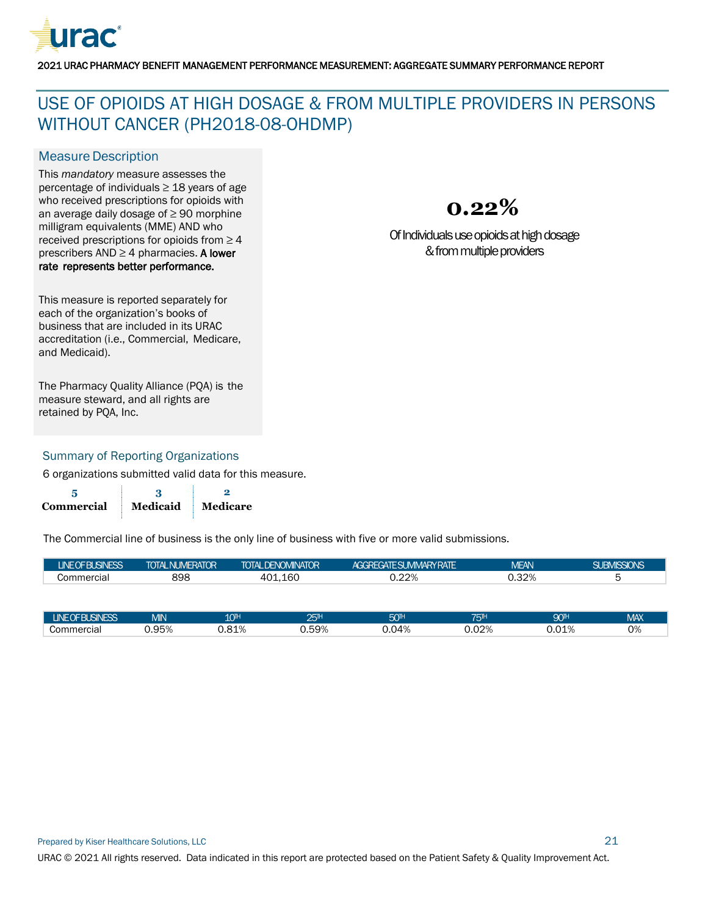

## <span id="page-21-0"></span>USE OF OPIOIDS AT HIGH DOSAGE & FROM MULTIPLE PROVIDERS IN PERSONS WITHOUT CANCER (PH2018-08-OHDMP)

#### **Measure Description**

This *mandatory* measure assesses the percentage of individuals  $\geq$  18 years of age who received prescriptions for opioids with an average daily dosage of ≥ 90 morphine milligram equivalents (MME) AND who received prescriptions for opioids from  $\geq 4$ prescribers  $AND \geq 4$  pharmacies. A lower rate represents better performance.



Of Individualsuse opioids at high dosage & from multiple providers

This measure is reported separately for each of the organization's books of business that are included in its URAC accreditation (i.e., Commercial, Medicare, and Medicaid).

The Pharmacy Quality Alliance (PQA) is the measure steward, and all rights are retained by PQA, Inc.

#### Summary of Reporting Organizations

6 organizations submitted valid data for this measure.

**5 3 2 Commercial Medicaid Medicare**

| LUNE OF BUSINESS <sup>1</sup> | <b>TOTAL NUMERATOR</b> | I TOTAL DENOMINATOR <sup>1</sup> | IAGGREGATE SUMMARY RATE ' | <b>MEAN</b> | <b>SUBMISSIONS</b> |
|-------------------------------|------------------------|----------------------------------|---------------------------|-------------|--------------------|
| Commercial                    | 898                    | 401.160                          | J.22%                     | 0.32%       |                    |

| <b>LINEOF BUSINESS</b> | <b>MIN</b> | 10 <sup>th</sup>     | ว⊏⊪<br>ست | $-m$<br>س | $-1$<br>ual.                  | 90™           | <b>MAX</b> |
|------------------------|------------|----------------------|-----------|-----------|-------------------------------|---------------|------------|
| Commercial             | 0.95%      | $Q$ 1 $Q$<br>∪.o⊥ ⁄∈ | $0.59\%$  | 0.04%     | 0.02%<br>$\sim$ $\sim$ $\sim$ | 01 O<br>∪.∪⊥‰ | ⌒∩<br>v 70 |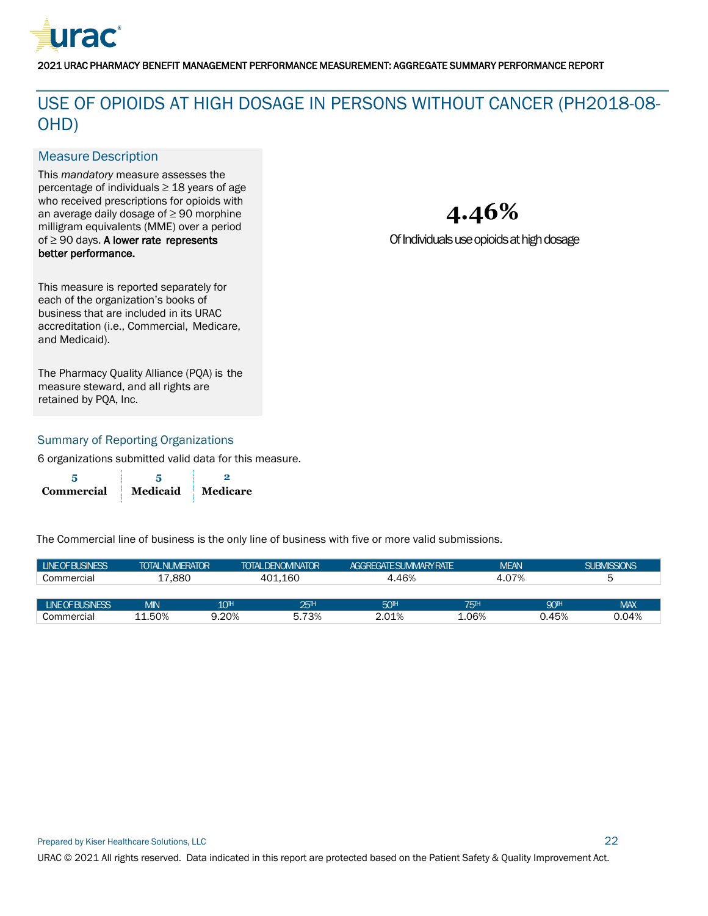

## <span id="page-22-0"></span>USE OF OPIOIDS AT HIGH DOSAGE IN PERSONS WITHOUT CANCER (PH2018-08- OHD)

#### **Measure Description**

This *mandatory* measure assesses the percentage of individuals ≥ 18 years of age who received prescriptions for opioids with an average daily dosage of ≥ 90 morphine milligram equivalents (MME) over a period of ≥ 90 days. A lower rate represents better performance.

**4.46%**

Of Individuals use opioids at high dosage

This measure is reported separately for each of the organization's books of business that are included in its URAC accreditation (i.e., Commercial, Medicare, and Medicaid).

The Pharmacy Quality Alliance (PQA) is the measure steward, and all rights are retained by PQA, Inc.

#### Summary of Reporting Organizations

6 organizations submitted valid data for this measure.

| Commercial | Medicaid | Medicare |
|------------|----------|----------|

| <b>LINE OF BUSINESS</b> | <b>TOTAL NUMERATOR</b> |                  | <b>TOTAL DENOMINATOR</b> | <b>AGGRFGATE SUMMARY RATE</b> |       | <b>MEAN</b>      | SUBMISSIONS |  |
|-------------------------|------------------------|------------------|--------------------------|-------------------------------|-------|------------------|-------------|--|
| Commercial              | 17.880                 |                  | 401.160                  | 4.46%<br>4.07%                |       |                  | ∽           |  |
|                         |                        |                  |                          |                               |       |                  |             |  |
| <b>INFOFRISINESS</b>    | <b>MIN</b>             | 10 <sup>th</sup> | 25 <sup>1</sup>          | 50 <sup>H</sup>               | 751н  | 90 <sub>TH</sub> | <b>MAX</b>  |  |
| Commercial              | 11.50%                 | 9.20%            | 5.73%                    | 2.01%                         | L.06% | 0.45%            | 0.04%       |  |